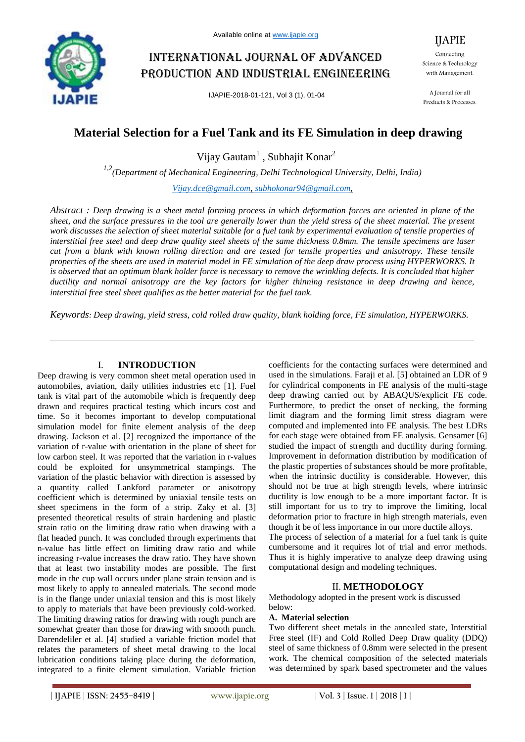

# International journal of advanced production and industrial engineering

IJAPIE-2018-01-121, Vol 3 (1), 01-04

Connecting Science & Technology with Management.

IJAPIE

A Journal for all Products & Processes.

## **Material Selection for a Fuel Tank and its FE Simulation in deep drawing**

Vijay Gautam<sup>1</sup>, Subhajit Konar<sup>2</sup>

*1,2(Department of Mechanical Engineering, Delhi Technological University, Delhi, India) Vijay.dce@gmail.com, subhokonar94@gmail.com,*

*Abstract : Deep drawing is a sheet metal forming process in which deformation forces are oriented in plane of the sheet, and the surface pressures in the tool are generally lower than the yield stress of the sheet material. The present work discusses the selection of sheet material suitable for a fuel tank by experimental evaluation of tensile properties of interstitial free steel and deep draw quality steel sheets of the same thickness 0.8mm. The tensile specimens are laser cut from a blank with known rolling direction and are tested for tensile properties and anisotropy. These tensile properties of the sheets are used in material model in FE simulation of the deep draw process using HYPERWORKS. It is observed that an optimum blank holder force is necessary to remove the wrinkling defects. It is concluded that higher ductility and normal anisotropy are the key factors for higher thinning resistance in deep drawing and hence, interstitial free steel sheet qualifies as the better material for the fuel tank.*

*Keywords: Deep drawing, yield stress, cold rolled draw quality, blank holding force, FE simulation, HYPERWORKS.*

#### I. **INTRODUCTION**

Deep drawing is very common sheet metal operation used in automobiles, aviation, daily utilities industries etc [1]. Fuel tank is vital part of the automobile which is frequently deep drawn and requires practical testing which incurs cost and time. So it becomes important to develop computational simulation model for finite element analysis of the deep drawing. Jackson et al. [2] recognized the importance of the variation of r-value with orientation in the plane of sheet for low carbon steel. It was reported that the variation in r-values could be exploited for unsymmetrical stampings. The variation of the plastic behavior with direction is assessed by a quantity called Lankford parameter or anisotropy coefficient which is determined by uniaxial tensile tests on sheet specimens in the form of a strip. Zaky et al. [3] presented theoretical results of strain hardening and plastic strain ratio on the limiting draw ratio when drawing with a flat headed punch. It was concluded through experiments that n-value has little effect on limiting draw ratio and while increasing r-value increases the draw ratio. They have shown that at least two instability modes are possible. The first mode in the cup wall occurs under plane strain tension and is most likely to apply to annealed materials. The second mode is in the flange under uniaxial tension and this is most likely to apply to materials that have been previously cold-worked. The limiting drawing ratios for drawing with rough punch are somewhat greater than those for drawing with smooth punch. Darendeliler et al. [4] studied a variable friction model that relates the parameters of sheet metal drawing to the local lubrication conditions taking place during the deformation, integrated to a finite element simulation. Variable friction coefficients for the contacting surfaces were determined and used in the simulations. Faraji et al. [5] obtained an LDR of 9 for cylindrical components in FE analysis of the multi-stage deep drawing carried out by ABAQUS/explicit FE code. Furthermore, to predict the onset of necking, the forming limit diagram and the forming limit stress diagram were computed and implemented into FE analysis. The best LDRs for each stage were obtained from FE analysis. Gensamer [6] studied the impact of strength and ductility during forming. Improvement in deformation distribution by modification of the plastic properties of substances should be more profitable, when the intrinsic ductility is considerable. However, this should not be true at high strength levels, where intrinsic ductility is low enough to be a more important factor. It is still important for us to try to improve the limiting, local deformation prior to fracture in high strength materials, even though it be of less importance in our more ductile alloys. The process of selection of a material for a fuel tank is quite cumbersome and it requires lot of trial and error methods.

Thus it is highly imperative to analyze deep drawing using computational design and modeling techniques.

## II. **METHODOLOGY**

Methodology adopted in the present work is discussed below:

#### **A. Material selection**

Two different sheet metals in the annealed state, Interstitial Free steel (IF) and Cold Rolled Deep Draw quality (DDQ) steel of same thickness of 0.8mm were selected in the present work. The chemical composition of the selected materials was determined by spark based spectrometer and the values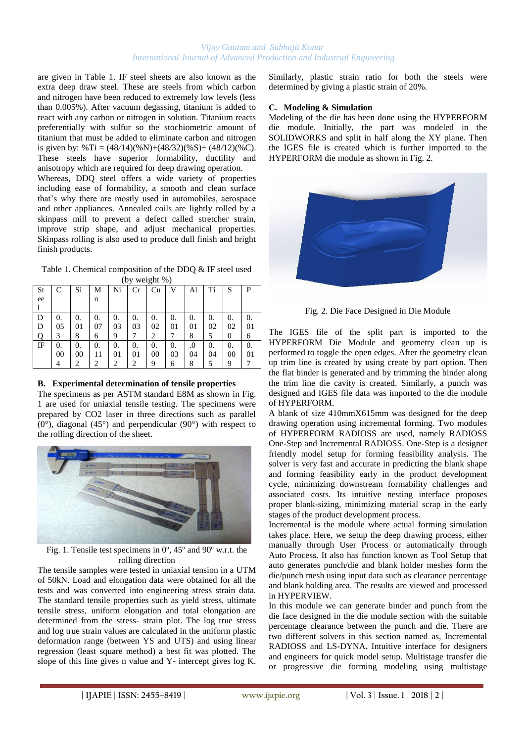#### *Vijay Gautam and Subhajit Konar International Journal of Advanced Production and Industrial Engineering*

are given in Table 1. IF steel sheets are also known as the extra deep draw steel. These are steels from which carbon and nitrogen have been reduced to extremely low levels (less than 0.005%). After vacuum degassing, titanium is added to react with any carbon or nitrogen in solution. Titanium reacts preferentially with sulfur so the stochiometric amount of titanium that must be added to eliminate carbon and nitrogen is given by:  $\% Ti = (48/14)(\% N) + (48/32)(\% S) + (48/12)(\% C)$ . These steels have superior formability, ductility and anisotropy which are required for deep drawing operation.

Whereas, DDQ steel offers a wide variety of properties including ease of formability, a smooth and clean surface that's why there are mostly used in automobiles, aerospace and other appliances. Annealed coils are lightly rolled by a skinpass mill to prevent a defect called stretcher strain, improve strip shape, and adjust mechanical properties. Skinpass rolling is also used to produce dull finish and bright finish products.

Table 1. Chemical composition of the DDQ & IF steel used (by weight %)

| St | C  | Si                          | М                           | Ni             | Cr | Cu | V  | Al | Ti | S  | P  |
|----|----|-----------------------------|-----------------------------|----------------|----|----|----|----|----|----|----|
| ee |    |                             | n                           |                |    |    |    |    |    |    |    |
|    |    |                             |                             |                |    |    |    |    |    |    |    |
| D  | 0. | 0.                          | 0.                          | 0.             | 0. | 0. | 0. | 0. | 0. | 0. | 0. |
| D  | 05 | 01                          | 07                          | 03             | 03 | 02 | 01 | 01 | 02 | 02 | 01 |
| Q  | 3  | 8                           | 6                           | 9              |    | 2  |    | 8  | 5  | 0  | 6  |
| IF | 0. | 0.                          | 0.                          | 0.             | 0. | 0. | 0. | .0 | 0. | 0. | 0. |
|    | 00 | 00                          | 11                          | 01             | 01 | 00 | 03 | 04 | 04 | 00 | 01 |
|    |    | $\mathcal{D}_{\mathcal{A}}$ | $\mathcal{D}_{\mathcal{A}}$ | $\mathfrak{D}$ | 2  | 9  | 6  | 8  | 5  | 9  |    |

## **B. Experimental determination of tensile properties**

The specimens as per ASTM standard E8M as shown in Fig. 1 are used for uniaxial tensile testing. The specimens were prepared by CO2 laser in three directions such as parallel  $(0^{\circ})$ , diagonal  $(45^{\circ})$  and perpendicular  $(90^{\circ})$  with respect to the rolling direction of the sheet.



Fig. 1. Tensile test specimens in 0º, 45º and 90º w.r.t. the rolling direction

The tensile samples were tested in uniaxial tension in a UTM of 50kN. Load and elongation data were obtained for all the tests and was converted into engineering stress strain data. The standard tensile properties such as yield stress, ultimate tensile stress, uniform elongation and total elongation are determined from the stress- strain plot. The log true stress and log true strain values are calculated in the uniform plastic deformation range (between YS and UTS) and using linear regression (least square method) a best fit was plotted. The slope of this line gives n value and Y- intercept gives log K.

Similarly, plastic strain ratio for both the steels were determined by giving a plastic strain of 20%.

#### **C. Modeling & Simulation**

Modeling of the die has been done using the HYPERFORM die module. Initially, the part was modeled in the SOLIDWORKS and split in half along the XY plane. Then the IGES file is created which is further imported to the HYPERFORM die module as shown in Fig. 2.



Fig. 2. Die Face Designed in Die Module

The IGES file of the split part is imported to the HYPERFORM Die Module and geometry clean up is performed to toggle the open edges. After the geometry clean up trim line is created by using create by part option. Then the flat binder is generated and by trimming the binder along the trim line die cavity is created. Similarly, a punch was designed and IGES file data was imported to the die module of HYPERFORM.

A blank of size 410mmX615mm was designed for the deep drawing operation using incremental forming. Two modules of HYPERFORM RADIOSS are used, namely RADIOSS One-Step and Incremental RADIOSS. One-Step is a designer friendly model setup for forming feasibility analysis. The solver is very fast and accurate in predicting the blank shape and forming feasibility early in the product development cycle, minimizing downstream formability challenges and associated costs. Its intuitive nesting interface proposes proper blank-sizing, minimizing material scrap in the early stages of the product development process.

Incremental is the module where actual forming simulation takes place. Here, we setup the deep drawing process, either manually through User Process or automatically through Auto Process. It also has function known as Tool Setup that auto generates punch/die and blank holder meshes form the die/punch mesh using input data such as clearance percentage and blank holding area. The results are viewed and processed in HYPERVIEW.

In this module we can generate binder and punch from the die face designed in the die module section with the suitable percentage clearance between the punch and die. There are two different solvers in this section named as, Incremental RADIOSS and LS-DYNA. Intuitive interface for designers and engineers for quick model setup. Multistage transfer die or progressive die forming modeling using multistage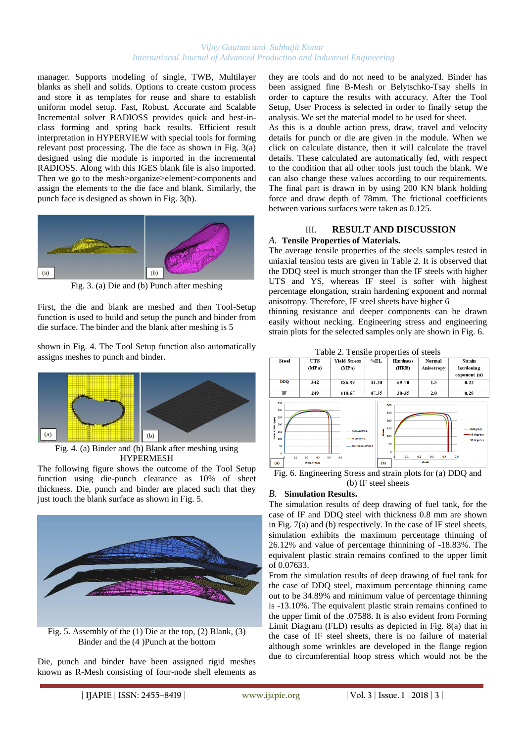#### *Vijay Gautam and Subhajit Konar International Journal of Advanced Production and Industrial Engineering*

manager. Supports modeling of single, TWB, Multilayer blanks as shell and solids. Options to create custom process and store it as templates for reuse and share to establish uniform model setup. Fast, Robust, Accurate and Scalable Incremental solver RADIOSS provides quick and best-inclass forming and spring back results. Efficient result interpretation in HYPERVIEW with special tools for forming relevant post processing. The die face as shown in Fig. 3(a) designed using die module is imported in the incremental RADIOSS. Along with this IGES blank file is also imported. Then we go to the mesh>organize>element>components and assign the elements to the die face and blank. Similarly, the punch face is designed as shown in Fig. 3(b).



Fig. 3. (a) Die and (b) Punch after meshing

First, the die and blank are meshed and then Tool-Setup function is used to build and setup the punch and binder from die surface. The binder and the blank after meshing is 5

shown in Fig. 4. The Tool Setup function also automatically assigns meshes to punch and binder.



Fig. 4. (a) Binder and (b) Blank after meshing using HYPERMESH

The following figure shows the outcome of the Tool Setup function using die-punch clearance as 10% of sheet thickness. Die, punch and binder are placed such that they just touch the blank surface as shown in Fig. 5.



Fig. 5. Assembly of the (1) Die at the top, (2) Blank, (3) Binder and the (4 )Punch at the bottom

Die, punch and binder have been assigned rigid meshes known as R-Mesh consisting of four-node shell elements as they are tools and do not need to be analyzed. Binder has been assigned fine B-Mesh or Belytschko-Tsay shells in order to capture the results with accuracy. After the Tool Setup, User Process is selected in order to finally setup the analysis. We set the material model to be used for sheet.

As this is a double action press, draw, travel and velocity details for punch or die are given in the module. When we click on calculate distance, then it will calculate the travel details. These calculated are automatically fed, with respect to the condition that all other tools just touch the blank. We can also change these values according to our requirements. The final part is drawn in by using 200 KN blank holding force and draw depth of 78mm. The frictional coefficients between various surfaces were taken as 0.125.

## III. **RESULT AND DISCUSSION**

## *A.* **Tensile Properties of Materials.**

The average tensile properties of the steels samples tested in uniaxial tension tests are given in Table 2. It is observed that the DDQ steel is much stronger than the IF steels with higher UTS and YS, whereas IF steel is softer with highest percentage elongation, strain hardening exponent and normal anisotropy. Therefore, IF steel sheets have higher 6

thinning resistance and deeper components can be drawn easily without necking. Engineering stress and engineering strain plots for the selected samples only are shown in Fig. 6.



Fig. 6. Engineering Stress and strain plots for (a) DDQ and (b) IF steel sheets

#### *B.* **Simulation Results.**

The simulation results of deep drawing of fuel tank, for the case of IF and DDQ steel with thickness 0.8 mm are shown in Fig. 7(a) and (b) respectively. In the case of IF steel sheets, simulation exhibits the maximum percentage thinning of 26.12% and value of percentage thinnining of -18.83%. The equivalent plastic strain remains confined to the upper limit of 0.07633.

From the simulation results of deep drawing of fuel tank for the case of DDQ steel, maximum percentage thinning came out to be 34.89% and minimum value of percentage thinning is -13.10%. The equivalent plastic strain remains confined to the upper limit of the .07588. It is also evident from Forming Limit Diagram (FLD) results as depicted in Fig. 8(a) that in the case of IF steel sheets, there is no failure of material although some wrinkles are developed in the flange region due to circumferential hoop stress which would not be the